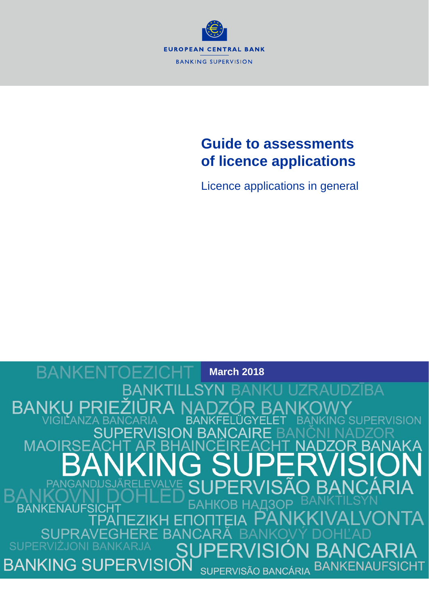

# **Guide to assessments of licence applications**

Licence applications in general

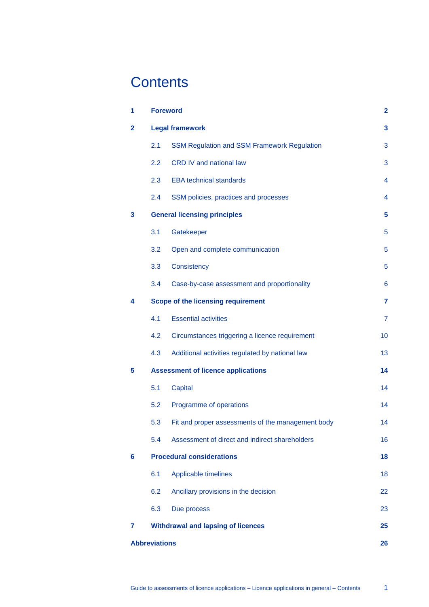# **Contents**

| 1                    | <b>Foreword</b>                           |                                                    | $\mathbf{2}$   |
|----------------------|-------------------------------------------|----------------------------------------------------|----------------|
| $\overline{2}$       | <b>Legal framework</b>                    |                                                    | 3              |
|                      | 2.1                                       | <b>SSM Regulation and SSM Framework Regulation</b> | 3              |
|                      | 2.2                                       | CRD IV and national law                            | 3              |
|                      | 2.3                                       | <b>EBA technical standards</b>                     | 4              |
|                      | 2.4                                       | SSM policies, practices and processes              | 4              |
| 3                    | <b>General licensing principles</b>       |                                                    | 5              |
|                      | 3.1                                       | Gatekeeper                                         | 5              |
|                      | 3.2                                       | Open and complete communication                    | 5              |
|                      | 3.3                                       | Consistency                                        | 5              |
|                      | 3.4                                       | Case-by-case assessment and proportionality        | 6              |
| 4                    | Scope of the licensing requirement        |                                                    | 7              |
|                      | 4.1                                       | <b>Essential activities</b>                        | $\overline{7}$ |
|                      | 4.2                                       | Circumstances triggering a licence requirement     | 10             |
|                      | 4.3                                       | Additional activities regulated by national law    | 13             |
| 5                    | <b>Assessment of licence applications</b> |                                                    | 14             |
|                      | 5.1                                       | Capital                                            | 14             |
|                      | 5.2                                       | Programme of operations                            | 14             |
|                      | 5.3                                       | Fit and proper assessments of the management body  | 14             |
|                      | 5.4                                       | Assessment of direct and indirect shareholders     | 16             |
| 6                    | <b>Procedural considerations</b>          |                                                    | 18             |
|                      | 6.1                                       | Applicable timelines                               | 18             |
|                      | 6.2                                       | Ancillary provisions in the decision               | 22             |
|                      | 6.3                                       | Due process                                        | 23             |
| 7                    | <b>Withdrawal and lapsing of licences</b> |                                                    | 25             |
| <b>Abbreviations</b> |                                           |                                                    | 26             |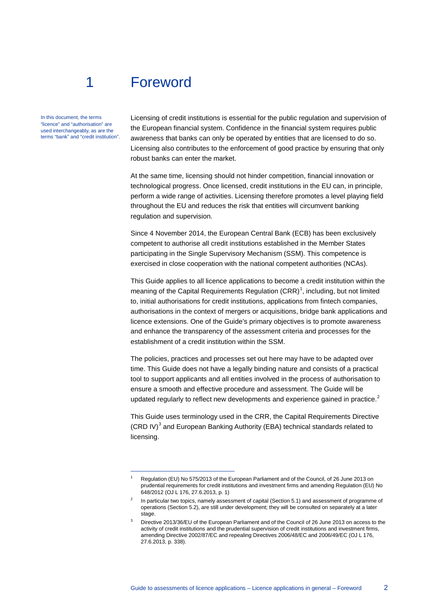# <span id="page-2-0"></span>1 Foreword

-

In this document, the terms "licence" and "authorisation" are used interchangeably, as are the terms "bank" and "credit institution". Licensing of credit institutions is essential for the public regulation and supervision of the European financial system. Confidence in the financial system requires public awareness that banks can only be operated by entities that are licensed to do so. Licensing also contributes to the enforcement of good practice by ensuring that only robust banks can enter the market.

At the same time, licensing should not hinder competition, financial innovation or technological progress. Once licensed, credit institutions in the EU can, in principle, perform a wide range of activities. Licensing therefore promotes a level playing field throughout the EU and reduces the risk that entities will circumvent banking regulation and supervision.

Since 4 November 2014, the European Central Bank (ECB) has been exclusively competent to authorise all credit institutions established in the Member States participating in the Single Supervisory Mechanism (SSM). This competence is exercised in close cooperation with the national competent authorities (NCAs).

This Guide applies to all licence applications to become a credit institution within the meaning of the Capital Requirements Regulation  $(CRR)^1$  $(CRR)^1$ , including, but not limited to, initial authorisations for credit institutions, applications from fintech companies, authorisations in the context of mergers or acquisitions, bridge bank applications and licence extensions. One of the Guide's primary objectives is to promote awareness and enhance the transparency of the assessment criteria and processes for the establishment of a credit institution within the SSM.

The policies, practices and processes set out here may have to be adapted over time. This Guide does not have a legally binding nature and consists of a practical tool to support applicants and all entities involved in the process of authorisation to ensure a smooth and effective procedure and assessment. The Guide will be updated regularly to reflect new developments and experience gained in practice. $2$ 

This Guide uses terminology used in the CRR, the Capital Requirements Directive  $(CRD IV)^3$  $(CRD IV)^3$  and European Banking Authority (EBA) technical standards related to licensing.

<span id="page-2-1"></span><sup>1</sup> Regulation (EU) No 575/2013 of the European Parliament and of the Council, of 26 June 2013 on prudential requirements for credit institutions and investment firms and amending Regulation (EU) No 648/2012 (OJ L 176, 27.6.2013, p. 1)

<span id="page-2-2"></span>In particular two topics, namely assessment of capital (Section 5.1) and assessment of programme of operations (Section 5.2), are still under development; they will be consulted on separately at a later stage.

<span id="page-2-3"></span>Directive 2013/36/EU of the European Parliament and of the Council of 26 June 2013 on access to the activity of credit institutions and the prudential supervision of credit institutions and investment firms, amending Directive 2002/87/EC and repealing Directives 2006/48/EC and 2006/49/EC (OJ L 176, 27.6.2013, p. 338).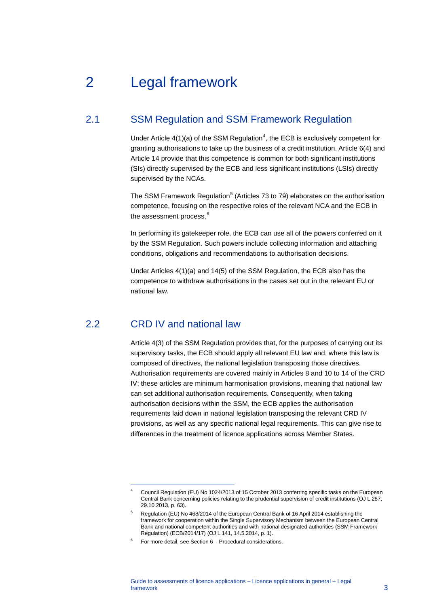# <span id="page-3-0"></span>2 Legal framework

## 2.1 SSM Regulation and SSM Framework Regulation

<span id="page-3-1"></span>Under Article  $4(1)(a)$  $4(1)(a)$  of the SSM Regulation<sup>4</sup>, the ECB is exclusively competent for granting authorisations to take up the business of a credit institution. Article 6(4) and Article 14 provide that this competence is common for both significant institutions (SIs) directly supervised by the ECB and less significant institutions (LSIs) directly supervised by the NCAs.

The SSM Framework Regulation<sup>[5](#page-3-4)</sup> (Articles 73 to 79) elaborates on the authorisation competence, focusing on the respective roles of the relevant NCA and the ECB in the assessment process. [6](#page-3-5)

In performing its gatekeeper role, the ECB can use all of the powers conferred on it by the SSM Regulation. Such powers include collecting information and attaching conditions, obligations and recommendations to authorisation decisions.

<span id="page-3-2"></span>Under Articles 4(1)(a) and 14(5) of the SSM Regulation, the ECB also has the competence to withdraw authorisations in the cases set out in the relevant EU or national law.

## 2.2 CRD IV and national law

-

Article 4(3) of the SSM Regulation provides that, for the purposes of carrying out its supervisory tasks, the ECB should apply all relevant EU law and, where this law is composed of directives, the national legislation transposing those directives. Authorisation requirements are covered mainly in Articles 8 and 10 to 14 of the CRD IV; these articles are minimum harmonisation provisions, meaning that national law can set additional authorisation requirements. Consequently, when taking authorisation decisions within the SSM, the ECB applies the authorisation requirements laid down in national legislation transposing the relevant CRD IV provisions, as well as any specific national legal requirements. This can give rise to differences in the treatment of licence applications across Member States.

<span id="page-3-3"></span>Council Regulation (EU) No 1024/2013 of 15 October 2013 conferring specific tasks on the European Central Bank concerning policies relating to the prudential supervision of credit institutions (OJ L 287, 29.10.2013, p. 63).

<span id="page-3-4"></span><sup>5</sup> Regulation (EU) No 468/2014 of the European Central Bank of 16 April 2014 establishing the framework for cooperation within the Single Supervisory Mechanism between the European Central Bank and national competent authorities and with national designated authorities (SSM Framework Regulation) (ECB/2014/17) (OJ L 141, 14.5.2014, p. 1).

<span id="page-3-5"></span><sup>6</sup> For more detail, see Section 6 – Procedural considerations.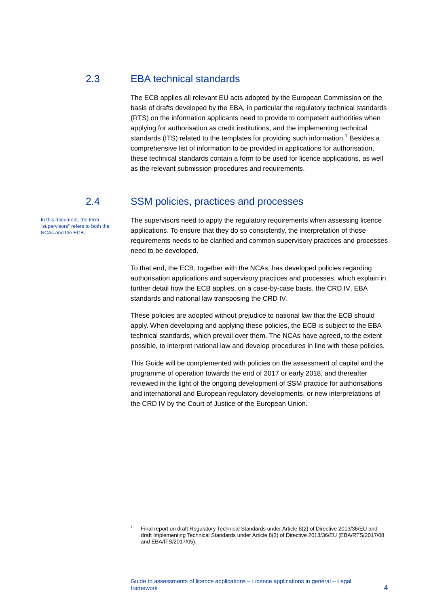## 2.3 EBA technical standards

<span id="page-4-0"></span>The ECB applies all relevant EU acts adopted by the European Commission on the basis of drafts developed by the EBA, in particular the regulatory technical standards (RTS) on the information applicants need to provide to competent authorities when applying for authorisation as credit institutions, and the implementing technical standards (ITS) related to the templates for providing such information.<sup>[7](#page-4-2)</sup> Besides a comprehensive list of information to be provided in applications for authorisation, these technical standards contain a form to be used for licence applications, as well as the relevant submission procedures and requirements.

-

In this document, the term "supervisors" refers to both the NCAs and the ECB.

### 2.4 SSM policies, practices and processes

<span id="page-4-1"></span>The supervisors need to apply the regulatory requirements when assessing licence applications. To ensure that they do so consistently, the interpretation of those requirements needs to be clarified and common supervisory practices and processes need to be developed.

To that end, the ECB, together with the NCAs, has developed policies regarding authorisation applications and supervisory practices and processes, which explain in further detail how the ECB applies, on a case-by-case basis, the CRD IV, EBA standards and national law transposing the CRD IV.

These policies are adopted without prejudice to national law that the ECB should apply. When developing and applying these policies, the ECB is subject to the EBA technical standards, which prevail over them. The NCAs have agreed, to the extent possible, to interpret national law and develop procedures in line with these policies.

This Guide will be complemented with policies on the assessment of capital and the programme of operation towards the end of 2017 or early 2018, and thereafter reviewed in the light of the ongoing development of SSM practice for authorisations and international and European regulatory developments, or new interpretations of the CRD IV by the Court of Justice of the European Union.

<span id="page-4-2"></span><sup>7</sup> Final report on draft Regulatory Technical Standards under Article 8(2) of Directive 2013/36/EU and draft Implementing Technical Standards under Article 8(3) of Directive 2013/36/EU (EBA/RTS/2017/08 and EBA/ITS/2017/05).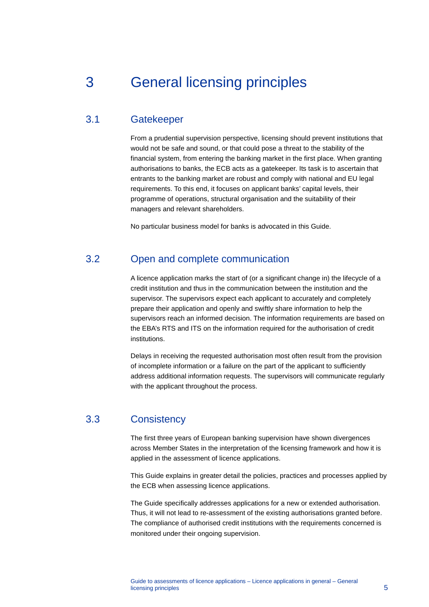# <span id="page-5-0"></span>3 General licensing principles

### 3.1 Gatekeeper

<span id="page-5-1"></span>From a prudential supervision perspective, licensing should prevent institutions that would not be safe and sound, or that could pose a threat to the stability of the financial system, from entering the banking market in the first place. When granting authorisations to banks, the ECB acts as a gatekeeper. Its task is to ascertain that entrants to the banking market are robust and comply with national and EU legal requirements. To this end, it focuses on applicant banks' capital levels, their programme of operations, structural organisation and the suitability of their managers and relevant shareholders.

<span id="page-5-2"></span>No particular business model for banks is advocated in this Guide.

# 3.2 Open and complete communication

A licence application marks the start of (or a significant change in) the lifecycle of a credit institution and thus in the communication between the institution and the supervisor. The supervisors expect each applicant to accurately and completely prepare their application and openly and swiftly share information to help the supervisors reach an informed decision. The information requirements are based on the EBA's RTS and ITS on the information required for the authorisation of credit institutions.

Delays in receiving the requested authorisation most often result from the provision of incomplete information or a failure on the part of the applicant to sufficiently address additional information requests. The supervisors will communicate regularly with the applicant throughout the process.

## 3.3 Consistency

<span id="page-5-3"></span>The first three years of European banking supervision have shown divergences across Member States in the interpretation of the licensing framework and how it is applied in the assessment of licence applications.

This Guide explains in greater detail the policies, practices and processes applied by the ECB when assessing licence applications.

The Guide specifically addresses applications for a new or extended authorisation. Thus, it will not lead to re-assessment of the existing authorisations granted before. The compliance of authorised credit institutions with the requirements concerned is monitored under their ongoing supervision.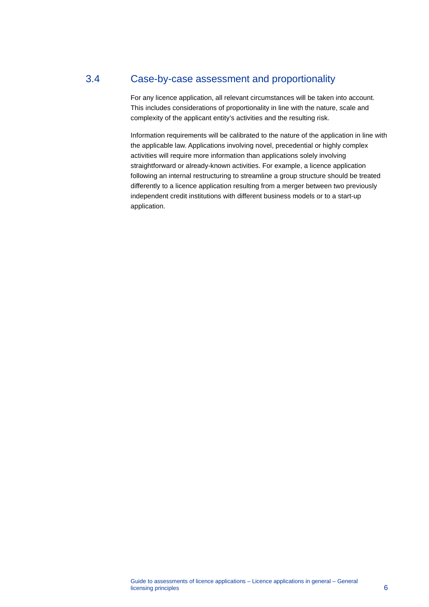# 3.4 Case-by-case assessment and proportionality

<span id="page-6-0"></span>For any licence application, all relevant circumstances will be taken into account. This includes considerations of proportionality in line with the nature, scale and complexity of the applicant entity's activities and the resulting risk.

Information requirements will be calibrated to the nature of the application in line with the applicable law. Applications involving novel, precedential or highly complex activities will require more information than applications solely involving straightforward or already-known activities. For example, a licence application following an internal restructuring to streamline a group structure should be treated differently to a licence application resulting from a merger between two previously independent credit institutions with different business models or to a start-up application.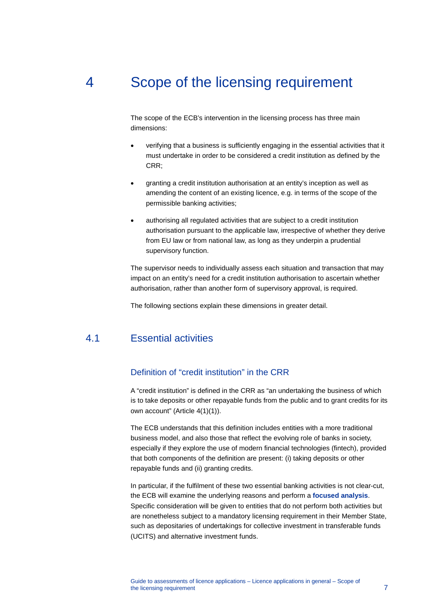# 4 Scope of the licensing requirement

<span id="page-7-0"></span>The scope of the ECB's intervention in the licensing process has three main dimensions:

- verifying that a business is sufficiently engaging in the essential activities that it must undertake in order to be considered a credit institution as defined by the CRR;
- granting a credit institution authorisation at an entity's inception as well as amending the content of an existing licence, e.g. in terms of the scope of the permissible banking activities;
- authorising all regulated activities that are subject to a credit institution authorisation pursuant to the applicable law, irrespective of whether they derive from EU law or from national law, as long as they underpin a prudential supervisory function.

The supervisor needs to individually assess each situation and transaction that may impact on an entity's need for a credit institution authorisation to ascertain whether authorisation, rather than another form of supervisory approval, is required.

<span id="page-7-1"></span>The following sections explain these dimensions in greater detail.

# 4.1 Essential activities

### Definition of "credit institution" in the CRR

A "credit institution" is defined in the CRR as "an undertaking the business of which is to take deposits or other repayable funds from the public and to grant credits for its own account" (Article 4(1)(1)).

The ECB understands that this definition includes entities with a more traditional business model, and also those that reflect the evolving role of banks in society, especially if they explore the use of modern financial technologies (fintech), provided that both components of the definition are present: (i) taking deposits or other repayable funds and (ii) granting credits.

In particular, if the fulfilment of these two essential banking activities is not clear-cut, the ECB will examine the underlying reasons and perform a **focused analysis**. Specific consideration will be given to entities that do not perform both activities but are nonetheless subject to a mandatory licensing requirement in their Member State, such as depositaries of undertakings for collective investment in transferable funds (UCITS) and alternative investment funds.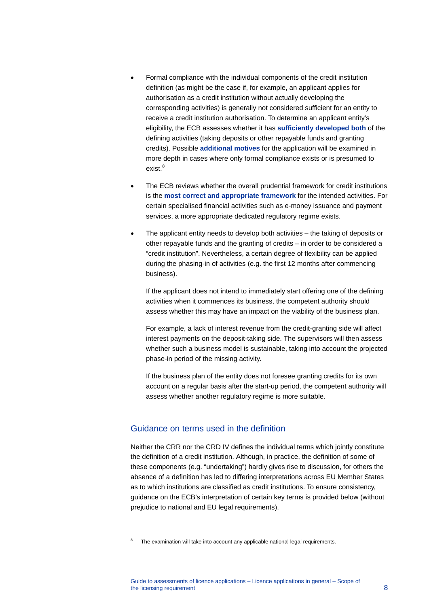- Formal compliance with the individual components of the credit institution definition (as might be the case if, for example, an applicant applies for authorisation as a credit institution without actually developing the corresponding activities) is generally not considered sufficient for an entity to receive a credit institution authorisation. To determine an applicant entity's eligibility, the ECB assesses whether it has **sufficiently developed both** of the defining activities (taking deposits or other repayable funds and granting credits). Possible **additional motives** for the application will be examined in more depth in cases where only formal compliance exists or is presumed to exist. [8](#page-8-0)
- The ECB reviews whether the overall prudential framework for credit institutions is the **most correct and appropriate framework** for the intended activities. For certain specialised financial activities such as e-money issuance and payment services, a more appropriate dedicated regulatory regime exists.
- The applicant entity needs to develop both activities the taking of deposits or other repayable funds and the granting of credits – in order to be considered a "credit institution". Nevertheless, a certain degree of flexibility can be applied during the phasing-in of activities (e.g. the first 12 months after commencing business).

If the applicant does not intend to immediately start offering one of the defining activities when it commences its business, the competent authority should assess whether this may have an impact on the viability of the business plan.

For example, a lack of interest revenue from the credit-granting side will affect interest payments on the deposit-taking side. The supervisors will then assess whether such a business model is sustainable, taking into account the projected phase-in period of the missing activity.

If the business plan of the entity does not foresee granting credits for its own account on a regular basis after the start-up period, the competent authority will assess whether another regulatory regime is more suitable.

#### Guidance on terms used in the definition

-

Neither the CRR nor the CRD IV defines the individual terms which jointly constitute the definition of a credit institution. Although, in practice, the definition of some of these components (e.g. "undertaking") hardly gives rise to discussion, for others the absence of a definition has led to differing interpretations across EU Member States as to which institutions are classified as credit institutions. To ensure consistency, guidance on the ECB's interpretation of certain key terms is provided below (without prejudice to national and EU legal requirements).

<span id="page-8-0"></span>The examination will take into account any applicable national legal requirements.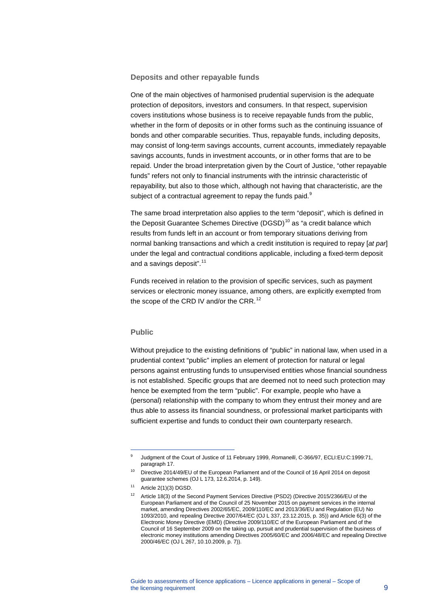#### **Deposits and other repayable funds**

One of the main objectives of harmonised prudential supervision is the adequate protection of depositors, investors and consumers. In that respect, supervision covers institutions whose business is to receive repayable funds from the public, whether in the form of deposits or in other forms such as the continuing issuance of bonds and other comparable securities. Thus, repayable funds, including deposits, may consist of long-term savings accounts, current accounts, immediately repayable savings accounts, funds in investment accounts, or in other forms that are to be repaid. Under the broad interpretation given by the Court of Justice, "other repayable funds" refers not only to financial instruments with the intrinsic characteristic of repayability, but also to those which, although not having that characteristic, are the subject of a contractual agreement to repay the funds paid.<sup>[9](#page-9-0)</sup>

The same broad interpretation also applies to the term "deposit", which is defined in the Deposit Guarantee Schemes Directive  $(DGSD)^{10}$  $(DGSD)^{10}$  $(DGSD)^{10}$  as "a credit balance which results from funds left in an account or from temporary situations deriving from normal banking transactions and which a credit institution is required to repay [*at par*] under the legal and contractual conditions applicable, including a fixed-term deposit and a savings deposit".<sup>[11](#page-9-2)</sup>

Funds received in relation to the provision of specific services, such as payment services or electronic money issuance, among others, are explicitly exempted from the scope of the CRD IV and/or the CRR.<sup>[12](#page-9-3)</sup>

#### **Public**

-

Without prejudice to the existing definitions of "public" in national law, when used in a prudential context "public" implies an element of protection for natural or legal persons against entrusting funds to unsupervised entities whose financial soundness is not established. Specific groups that are deemed not to need such protection may hence be exempted from the term "public". For example, people who have a (personal) relationship with the company to whom they entrust their money and are thus able to assess its financial soundness, or professional market participants with sufficient expertise and funds to conduct their own counterparty research.

<sup>9</sup> Judgment of the Court of Justice of 11 February 1999, *Romanelli*, C-366/97, ECLI:EU:C:1999:71, paragraph 17.

<span id="page-9-0"></span><sup>&</sup>lt;sup>10</sup> Directive 2014/49/EU of the European Parliament and of the Council of 16 April 2014 on deposit guarantee schemes (OJ L 173, 12.6.2014, p. 149).

<span id="page-9-3"></span><span id="page-9-2"></span><span id="page-9-1"></span> $11$  Article 2(1)(3) DGSD.

<sup>&</sup>lt;sup>12</sup> Article 18(3) of the Second Payment Services Directive (PSD2) (Directive 2015/2366/EU of the European Parliament and of the Council of 25 November 2015 on payment services in the internal market, amending Directives 2002/65/EC, 2009/110/EC and 2013/36/EU and Regulation (EU) No 1093/2010, and repealing Directive 2007/64/EC (OJ L 337, 23.12.2015, p. 35)) and Article 6(3) of the Electronic Money Directive (EMD) (Directive 2009/110/EC of the European Parliament and of the Council of 16 September 2009 on the taking up, pursuit and prudential supervision of the business of electronic money institutions amending Directives 2005/60/EC and 2006/48/EC and repealing Directive 2000/46/EC (OJ L 267, 10.10.2009, p. 7)).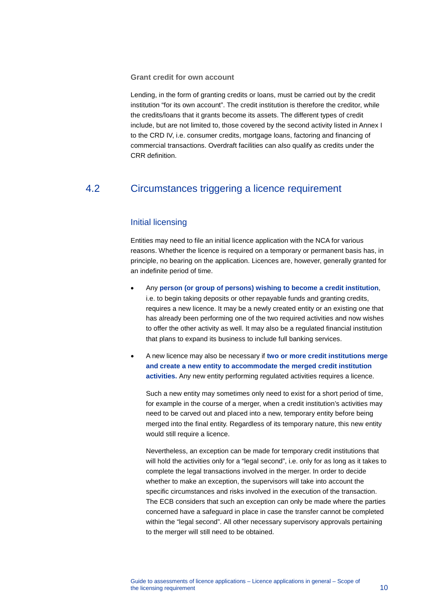**Grant credit for own account**

Lending, in the form of granting credits or loans, must be carried out by the credit institution "for its own account". The credit institution is therefore the creditor, while the credits/loans that it grants become its assets. The different types of credit include, but are not limited to, those covered by the second activity listed in Annex I to the CRD IV, i.e. consumer credits, mortgage loans, factoring and financing of commercial transactions. Overdraft facilities can also qualify as credits under the CRR definition.

# <span id="page-10-0"></span>4.2 Circumstances triggering a licence requirement

#### Initial licensing

Entities may need to file an initial licence application with the NCA for various reasons. Whether the licence is required on a temporary or permanent basis has, in principle, no bearing on the application. Licences are, however, generally granted for an indefinite period of time.

- Any **person (or group of persons) wishing to become a credit institution**, i.e. to begin taking deposits or other repayable funds and granting credits, requires a new licence. It may be a newly created entity or an existing one that has already been performing one of the two required activities and now wishes to offer the other activity as well. It may also be a regulated financial institution that plans to expand its business to include full banking services.
- A new licence may also be necessary if **two or more credit institutions merge and create a new entity to accommodate the merged credit institution activities.** Any new entity performing regulated activities requires a licence.

Such a new entity may sometimes only need to exist for a short period of time, for example in the course of a merger, when a credit institution's activities may need to be carved out and placed into a new, temporary entity before being merged into the final entity. Regardless of its temporary nature, this new entity would still require a licence.

Nevertheless, an exception can be made for temporary credit institutions that will hold the activities only for a "legal second", i.e. only for as long as it takes to complete the legal transactions involved in the merger. In order to decide whether to make an exception, the supervisors will take into account the specific circumstances and risks involved in the execution of the transaction. The ECB considers that such an exception can only be made where the parties concerned have a safeguard in place in case the transfer cannot be completed within the "legal second". All other necessary supervisory approvals pertaining to the merger will still need to be obtained.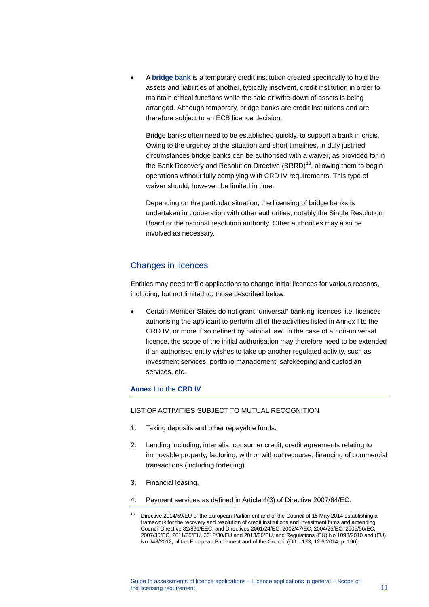• A **bridge bank** is a temporary credit institution created specifically to hold the assets and liabilities of another, typically insolvent, credit institution in order to maintain critical functions while the sale or write-down of assets is being arranged. Although temporary, bridge banks are credit institutions and are therefore subject to an ECB licence decision.

Bridge banks often need to be established quickly, to support a bank in crisis. Owing to the urgency of the situation and short timelines, in duly justified circumstances bridge banks can be authorised with a waiver, as provided for in the Bank Recovery and Resolution Directive (BRRD)<sup>13</sup>, allowing them to begin operations without fully complying with CRD IV requirements. This type of waiver should, however, be limited in time.

Depending on the particular situation, the licensing of bridge banks is undertaken in cooperation with other authorities, notably the Single Resolution Board or the national resolution authority. Other authorities may also be involved as necessary.

### Changes in licences

Entities may need to file applications to change initial licences for various reasons, including, but not limited to, those described below.

• Certain Member States do not grant "universal" banking licences, i.e. licences authorising the applicant to perform all of the activities listed in Annex I to the CRD IV, or more if so defined by national law. In the case of a non-universal licence, the scope of the initial authorisation may therefore need to be extended if an authorised entity wishes to take up another regulated activity, such as investment services, portfolio management, safekeeping and custodian services, etc.

#### **Annex I to the CRD IV**

#### LIST OF ACTIVITIES SUBJECT TO MUTUAL RECOGNITION

- 1. Taking deposits and other repayable funds.
- 2. Lending including, inter alia: consumer credit, credit agreements relating to immovable property, factoring, with or without recourse, financing of commercial transactions (including forfeiting).
- 3. Financial leasing.

-

4. Payment services as defined in Article 4(3) of Directive 2007/64/EC.

<span id="page-11-0"></span> $13$  Directive 2014/59/EU of the European Parliament and of the Council of 15 May 2014 establishing a framework for the recovery and resolution of credit institutions and investment firms and amending Council Directive 82/891/EEC, and Directives 2001/24/EC, 2002/47/EC, 2004/25/EC, 2005/56/EC, 2007/36/EC, 2011/35/EU, 2012/30/EU and 2013/36/EU, and Regulations (EU) No 1093/2010 and (EU) No 648/2012, of the European Parliament and of the Council (OJ L 173, 12.6.2014, p. 190).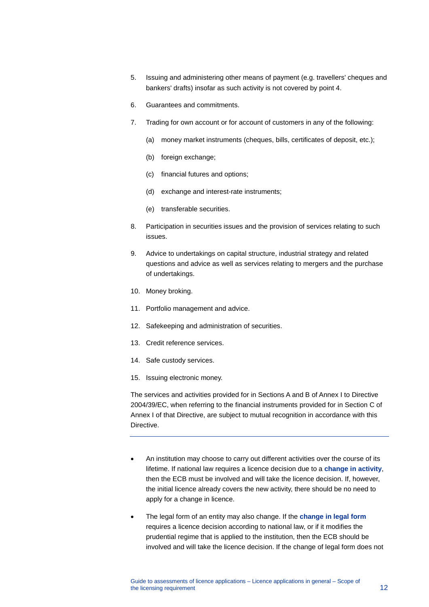- 5. Issuing and administering other means of payment (e.g. travellers' cheques and bankers' drafts) insofar as such activity is not covered by point 4.
- 6. Guarantees and commitments.
- 7. Trading for own account or for account of customers in any of the following:
	- (a) money market instruments (cheques, bills, certificates of deposit, etc.);
	- (b) foreign exchange;
	- (c) financial futures and options;
	- (d) exchange and interest-rate instruments;
	- (e) transferable securities.
- 8. Participation in securities issues and the provision of services relating to such issues.
- 9. Advice to undertakings on capital structure, industrial strategy and related questions and advice as well as services relating to mergers and the purchase of undertakings.
- 10. Money broking.
- 11. Portfolio management and advice.
- 12. Safekeeping and administration of securities.
- 13. Credit reference services.
- 14. Safe custody services.
- 15. Issuing electronic money.

The services and activities provided for in Sections A and B of Annex I to Directive 2004/39/EC, when referring to the financial instruments provided for in Section C of Annex I of that Directive, are subject to mutual recognition in accordance with this Directive.

- An institution may choose to carry out different activities over the course of its lifetime. If national law requires a licence decision due to a **change in activity**, then the ECB must be involved and will take the licence decision. If, however, the initial licence already covers the new activity, there should be no need to apply for a change in licence.
- The legal form of an entity may also change. If the **change in legal form** requires a licence decision according to national law, or if it modifies the prudential regime that is applied to the institution, then the ECB should be involved and will take the licence decision. If the change of legal form does not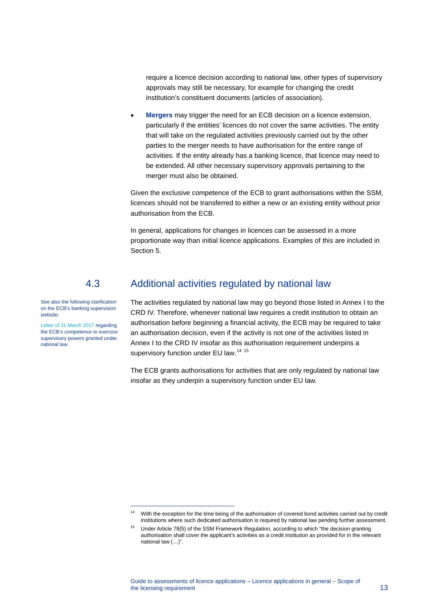require a licence decision according to national law, other types of supervisory approvals may still be necessary, for example for changing the credit institution's constituent documents (articles of association).

**Mergers** may trigger the need for an ECB decision on a licence extension, particularly if the entities' licences do not cover the same activities. The entity that will take on the regulated activities previously carried out by the other parties to the merger needs to have authorisation for the entire range of activities. If the entity already has a banking licence, that licence may need to be extended. All other necessary supervisory approvals pertaining to the merger must also be obtained.

Given the exclusive competence of the ECB to grant authorisations within the SSM, licences should not be transferred to either a new or an existing entity without prior authorisation from the ECB.

<span id="page-13-0"></span>In general, applications for changes in licences can be assessed in a more proportionate way than initial licence applications. Examples of this are included in Section 5.

## 4.3 Additional activities regulated by national law

See also the following clarification on the ECB's banking supervision website:

[Letter of 31 March 2017](https://www.bankingsupervision.europa.eu/banking/letterstobanks/shared/pdf/2017/Letter_to_SI_Entry_point_information_letter.pdf?abdf436e51b6ba34d4c53334f0197612) regarding the ECB's competence to exercise supervisory powers granted under national law.

-

The activities regulated by national law may go beyond those listed in Annex I to the CRD IV. Therefore, whenever national law requires a credit institution to obtain an authorisation before beginning a financial activity, the ECB may be required to take an authorisation decision, even if the activity is not one of the activities listed in Annex I to the CRD IV insofar as this authorisation requirement underpins a supervisory function under EU law.<sup>[14](#page-13-1) [15](#page-13-2)</sup>

The ECB grants authorisations for activities that are only regulated by national law insofar as they underpin a supervisory function under EU law.

<span id="page-13-1"></span><sup>&</sup>lt;sup>14</sup> With the exception for the time being of the authorisation of covered bond activities carried out by credit institutions where such dedicated authorisation is required by national law pending further assessment.

<span id="page-13-2"></span><sup>&</sup>lt;sup>15</sup> Under Article 78(5) of the SSM Framework Regulation, according to which "the decision granting authorisation shall cover the applicant's activities as a credit institution as provided for in the relevant national law (…)".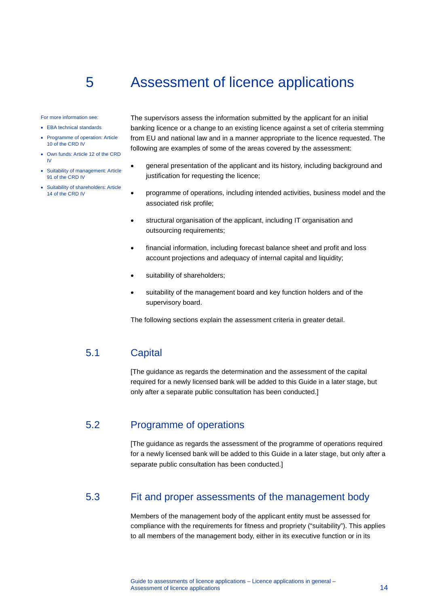# 5 Assessment of licence applications

For more information see:

- EBA technical standards
- Programme of operation: Article 10 of the CRD IV
- Own funds: Article 12 of the CRD IV
- Suitability of management: Article 91 of the CRD IV
- Suitability of shareholders: Article 14 of the CRD IV

<span id="page-14-0"></span>The supervisors assess the information submitted by the applicant for an initial banking licence or a change to an existing licence against a set of criteria stemming from EU and national law and in a manner appropriate to the licence requested. The following are examples of some of the areas covered by the assessment:

- general presentation of the applicant and its history, including background and justification for requesting the licence;
- programme of operations, including intended activities, business model and the associated risk profile;
- structural organisation of the applicant, including IT organisation and outsourcing requirements;
- financial information, including forecast balance sheet and profit and loss account projections and adequacy of internal capital and liquidity;
- suitability of shareholders;
- suitability of the management board and key function holders and of the supervisory board.

<span id="page-14-1"></span>The following sections explain the assessment criteria in greater detail.

## 5.1 Capital

<span id="page-14-2"></span>[The guidance as regards the determination and the assessment of the capital required for a newly licensed bank will be added to this Guide in a later stage, but only after a separate public consultation has been conducted.]

# 5.2 Programme of operations

<span id="page-14-3"></span>[The guidance as regards the assessment of the programme of operations required for a newly licensed bank will be added to this Guide in a later stage, but only after a separate public consultation has been conducted.]

## 5.3 Fit and proper assessments of the management body

Members of the management body of the applicant entity must be assessed for compliance with the requirements for fitness and propriety ("suitability"). This applies to all members of the management body, either in its executive function or in its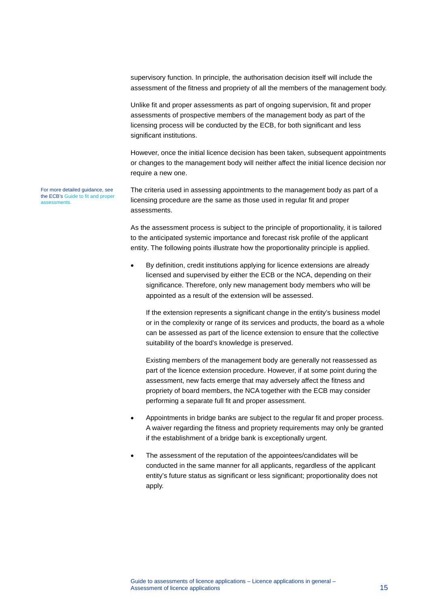supervisory function. In principle, the authorisation decision itself will include the assessment of the fitness and propriety of all the members of the management body.

Unlike fit and proper assessments as part of ongoing supervision, fit and proper assessments of prospective members of the management body as part of the licensing process will be conducted by the ECB, for both significant and less significant institutions.

However, once the initial licence decision has been taken, subsequent appointments or changes to the management body will neither affect the initial licence decision nor require a new one.

For more detailed guidance, see the ECB's Guide to [fit and proper](https://www.bankingsupervision.europa.eu/ecb/pub/pdf/ssm.fap_guide_201705.en.pdf)  [assessments](https://www.bankingsupervision.europa.eu/ecb/pub/pdf/ssm.fap_guide_201705.en.pdf).

The criteria used in assessing appointments to the management body as part of a licensing procedure are the same as those used in regular fit and proper assessments.

As the assessment process is subject to the principle of proportionality, it is tailored to the anticipated systemic importance and forecast risk profile of the applicant entity. The following points illustrate how the proportionality principle is applied.

• By definition, credit institutions applying for licence extensions are already licensed and supervised by either the ECB or the NCA, depending on their significance. Therefore, only new management body members who will be appointed as a result of the extension will be assessed.

If the extension represents a significant change in the entity's business model or in the complexity or range of its services and products, the board as a whole can be assessed as part of the licence extension to ensure that the collective suitability of the board's knowledge is preserved.

Existing members of the management body are generally not reassessed as part of the licence extension procedure. However, if at some point during the assessment, new facts emerge that may adversely affect the fitness and propriety of board members, the NCA together with the ECB may consider performing a separate full fit and proper assessment.

- Appointments in bridge banks are subject to the regular fit and proper process. A waiver regarding the fitness and propriety requirements may only be granted if the establishment of a bridge bank is exceptionally urgent.
- The assessment of the reputation of the appointees/candidates will be conducted in the same manner for all applicants, regardless of the applicant entity's future status as significant or less significant; proportionality does not apply.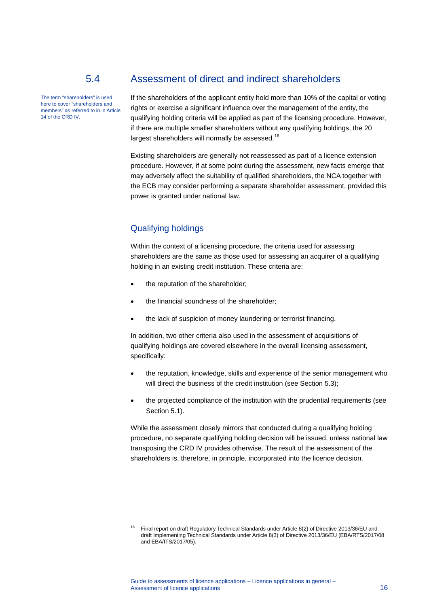# 5.4 Assessment of direct and indirect shareholders

The term "shareholders" is used here to cover "shareholders and members" as referred to in in Article 14 of the CRD IV.

<span id="page-16-0"></span>If the shareholders of the applicant entity hold more than 10% of the capital or voting rights or exercise a significant influence over the management of the entity, the qualifying holding criteria will be applied as part of the licensing procedure. However, if there are multiple smaller shareholders without any qualifying holdings, the 20 largest shareholders will normally be assessed.<sup>[16](#page-16-1)</sup>

Existing shareholders are generally not reassessed as part of a licence extension procedure. However, if at some point during the assessment, new facts emerge that may adversely affect the suitability of qualified shareholders, the NCA together with the ECB may consider performing a separate shareholder assessment, provided this power is granted under national law.

### Qualifying holdings

-

Within the context of a licensing procedure, the criteria used for assessing shareholders are the same as those used for assessing an acquirer of a qualifying holding in an existing credit institution. These criteria are:

- the reputation of the shareholder;
- the financial soundness of the shareholder;
- the lack of suspicion of money laundering or terrorist financing.

In addition, two other criteria also used in the assessment of acquisitions of qualifying holdings are covered elsewhere in the overall licensing assessment, specifically:

- the reputation, knowledge, skills and experience of the senior management who will direct the business of the credit institution (see Section 5.3);
- the projected compliance of the institution with the prudential requirements (see Section 5.1).

While the assessment closely mirrors that conducted during a qualifying holding procedure, no separate qualifying holding decision will be issued, unless national law transposing the CRD IV provides otherwise. The result of the assessment of the shareholders is, therefore, in principle, incorporated into the licence decision.

<span id="page-16-1"></span><sup>&</sup>lt;sup>16</sup> Final report on draft Regulatory Technical Standards under Article 8(2) of Directive 2013/36/EU and draft Implementing Technical Standards under Article 8(3) of Directive 2013/36/EU (EBA/RTS/2017/08 and EBA/ITS/2017/05).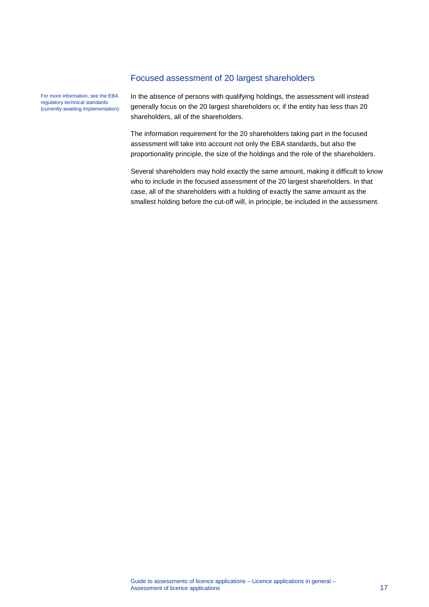### Focused assessment of 20 largest shareholders

For more information, see the EBA regulatory technical standards (currently awaiting implementation). In the absence of persons with qualifying holdings, the assessment will instead generally focus on the 20 largest shareholders or, if the entity has less than 20 shareholders, all of the shareholders.

The information requirement for the 20 shareholders taking part in the focused assessment will take into account not only the EBA standards, but also the proportionality principle, the size of the holdings and the role of the shareholders.

Several shareholders may hold exactly the same amount, making it difficult to know who to include in the focused assessment of the 20 largest shareholders. In that case, all of the shareholders with a holding of exactly the same amount as the smallest holding before the cut-off will, in principle, be included in the assessment.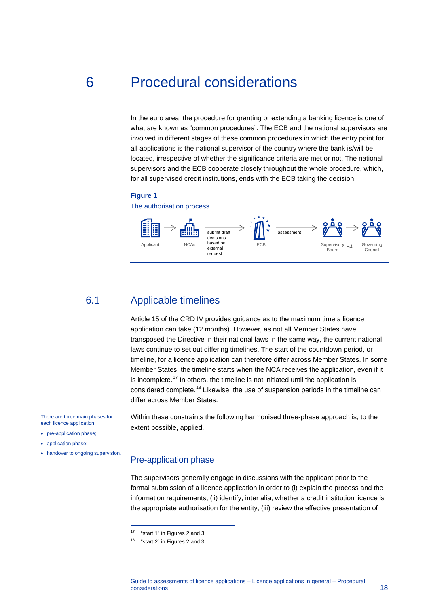# 6 Procedural considerations

<span id="page-18-0"></span>In the euro area, the procedure for granting or extending a banking licence is one of what are known as "common procedures". The ECB and the national supervisors are involved in different stages of these common procedures in which the entry point for all applications is the national supervisor of the country where the bank is/will be located, irrespective of whether the significance criteria are met or not. The national supervisors and the ECB cooperate closely throughout the whole procedure, which, for all supervised credit institutions, ends with the ECB taking the decision.

#### **Figure 1**

The authorisation process



## 6.1 Applicable timelines

<span id="page-18-1"></span>Article 15 of the CRD IV provides guidance as to the maximum time a licence application can take (12 months). However, as not all Member States have transposed the Directive in their national laws in the same way, the current national laws continue to set out differing timelines. The start of the countdown period, or timeline, for a licence application can therefore differ across Member States. In some Member States, the timeline starts when the NCA receives the application, even if it is incomplete.<sup>[17](#page-18-2)</sup> In others, the timeline is not initiated until the application is considered complete.<sup>[18](#page-18-3)</sup> Likewise, the use of suspension periods in the timeline can differ across Member States.

Within these constraints the following harmonised three-phase approach is, to the extent possible, applied.

There are three main phases for each licence application:

- pre-application phase;
- application phase;
- <span id="page-18-3"></span><span id="page-18-2"></span>• handover to ongoing supervision.

#### Pre-application phase

The supervisors generally engage in discussions with the applicant prior to the formal submission of a licence application in order to (i) explain the process and the information requirements, (ii) identify, inter alia, whether a credit institution licence is the appropriate authorisation for the entity, (iii) review the effective presentation of

-

<sup>17</sup> "start 1" in Figures 2 and 3.

<sup>&</sup>lt;sup>18</sup> "start 2" in Figures 2 and 3.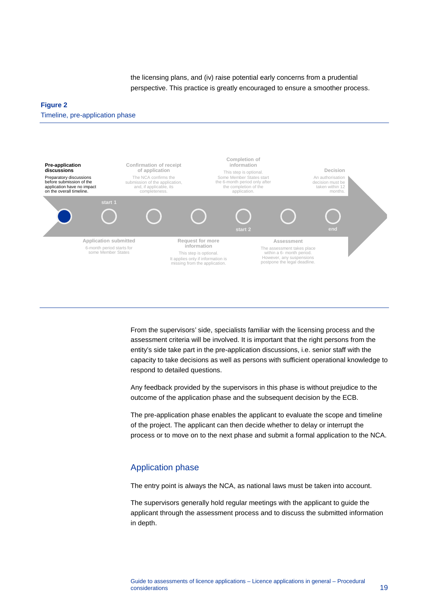the licensing plans, and (iv) raise potential early concerns from a prudential perspective. This practice is greatly encouraged to ensure a smoother process.

#### **Figure 2**

Timeline, pre-application phase



From the supervisors' side, specialists familiar with the licensing process and the assessment criteria will be involved. It is important that the right persons from the entity's side take part in the pre-application discussions, i.e. senior staff with the capacity to take decisions as well as persons with sufficient operational knowledge to respond to detailed questions.

Any feedback provided by the supervisors in this phase is without prejudice to the outcome of the application phase and the subsequent decision by the ECB.

The pre-application phase enables the applicant to evaluate the scope and timeline of the project. The applicant can then decide whether to delay or interrupt the process or to move on to the next phase and submit a formal application to the NCA.

#### Application phase

The entry point is always the NCA, as national laws must be taken into account.

The supervisors generally hold regular meetings with the applicant to guide the applicant through the assessment process and to discuss the submitted information in depth.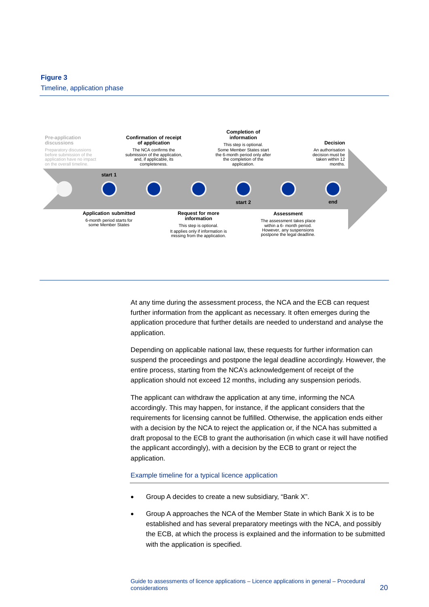#### **Figure 3**



At any time during the assessment process, the NCA and the ECB can request further information from the applicant as necessary. It often emerges during the application procedure that further details are needed to understand and analyse the application.

Depending on applicable national law, these requests for further information can suspend the proceedings and postpone the legal deadline accordingly. However, the entire process, starting from the NCA's acknowledgement of receipt of the application should not exceed 12 months, including any suspension periods.

The applicant can withdraw the application at any time, informing the NCA accordingly. This may happen, for instance, if the applicant considers that the requirements for licensing cannot be fulfilled. Otherwise, the application ends either with a decision by the NCA to reject the application or, if the NCA has submitted a draft proposal to the ECB to grant the authorisation (in which case it will have notified the applicant accordingly), with a decision by the ECB to grant or reject the application.

#### Example timeline for a typical licence application

- Group A decides to create a new subsidiary, "Bank X".
- Group A approaches the NCA of the Member State in which Bank X is to be established and has several preparatory meetings with the NCA, and possibly the ECB, at which the process is explained and the information to be submitted with the application is specified.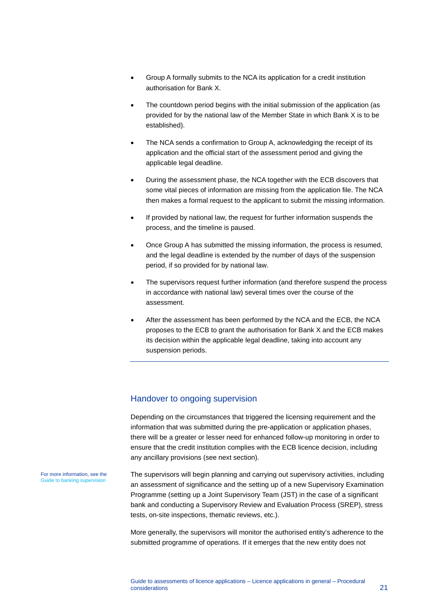- Group A formally submits to the NCA its application for a credit institution authorisation for Bank X.
- The countdown period begins with the initial submission of the application (as provided for by the national law of the Member State in which Bank X is to be established).
- The NCA sends a confirmation to Group A, acknowledging the receipt of its application and the official start of the assessment period and giving the applicable legal deadline.
- During the assessment phase, the NCA together with the ECB discovers that some vital pieces of information are missing from the application file. The NCA then makes a formal request to the applicant to submit the missing information.
- If provided by national law, the request for further information suspends the process, and the timeline is paused.
- Once Group A has submitted the missing information, the process is resumed, and the legal deadline is extended by the number of days of the suspension period, if so provided for by national law.
- The supervisors request further information (and therefore suspend the process in accordance with national law) several times over the course of the assessment.
- After the assessment has been performed by the NCA and the ECB, the NCA proposes to the ECB to grant the authorisation for Bank X and the ECB makes its decision within the applicable legal deadline, taking into account any suspension periods.

#### Handover to ongoing supervision

Depending on the circumstances that triggered the licensing requirement and the information that was submitted during the pre-application or application phases, there will be a greater or lesser need for enhanced follow-up monitoring in order to ensure that the credit institution complies with the ECB licence decision, including any ancillary provisions (see next section).

The supervisors will begin planning and carrying out supervisory activities, including an assessment of significance and the setting up of a new Supervisory Examination Programme (setting up a Joint Supervisory Team (JST) in the case of a significant bank and conducting a Supervisory Review and Evaluation Process (SREP), stress tests, on-site inspections, thematic reviews, etc.).

More generally, the supervisors will monitor the authorised entity's adherence to the submitted programme of operations. If it emerges that the new entity does not

For more information, see the [Guide to banking supervision](https://www.bankingsupervision.europa.eu/press/publications/html/index.en.html)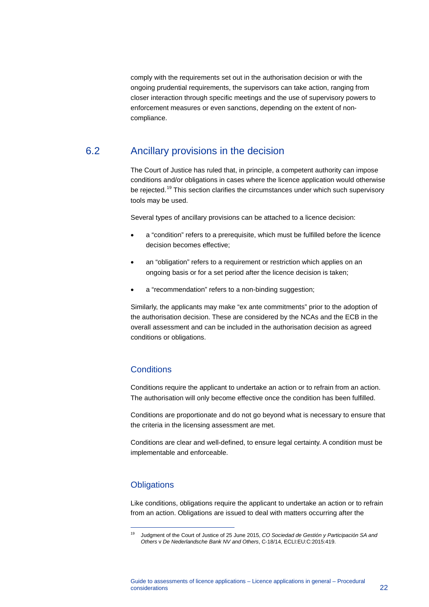comply with the requirements set out in the authorisation decision or with the ongoing prudential requirements, the supervisors can take action, ranging from closer interaction through specific meetings and the use of supervisory powers to enforcement measures or even sanctions, depending on the extent of noncompliance.

## 6.2 Ancillary provisions in the decision

<span id="page-22-0"></span>The Court of Justice has ruled that, in principle, a competent authority can impose conditions and/or obligations in cases where the licence application would otherwise be rejected.<sup>[19](#page-22-1)</sup> This section clarifies the circumstances under which such supervisory tools may be used.

Several types of ancillary provisions can be attached to a licence decision:

- a "condition" refers to a prerequisite, which must be fulfilled before the licence decision becomes effective;
- an "obligation" refers to a requirement or restriction which applies on an ongoing basis or for a set period after the licence decision is taken;
- a "recommendation" refers to a non-binding suggestion;

Similarly, the applicants may make "ex ante commitments" prior to the adoption of the authorisation decision. These are considered by the NCAs and the ECB in the overall assessment and can be included in the authorisation decision as agreed conditions or obligations.

### **Conditions**

Conditions require the applicant to undertake an action or to refrain from an action. The authorisation will only become effective once the condition has been fulfilled.

Conditions are proportionate and do not go beyond what is necessary to ensure that the criteria in the licensing assessment are met.

Conditions are clear and well-defined, to ensure legal certainty. A condition must be implementable and enforceable.

### **Obligations**

<span id="page-22-1"></span>-

Like conditions, obligations require the applicant to undertake an action or to refrain from an action. Obligations are issued to deal with matters occurring after the

<sup>19</sup> Judgment of the Court of Justice of 25 June 2015, *CO Sociedad de Gestión y Participación SA and Others* v *De Nederlandsche Bank NV and Others*, C-18/14, ECLI:EU:C:2015:419.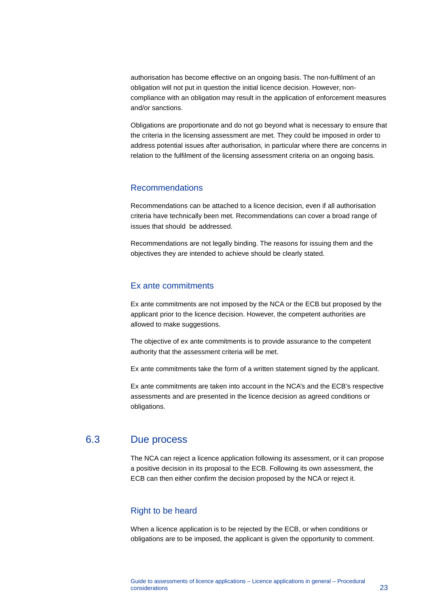authorisation has become effective on an ongoing basis. The non-fulfilment of an obligation will not put in question the initial licence decision. However, noncompliance with an obligation may result in the application of enforcement measures and/or sanctions.

Obligations are proportionate and do not go beyond what is necessary to ensure that the criteria in the licensing assessment are met. They could be imposed in order to address potential issues after authorisation, in particular where there are concerns in relation to the fulfilment of the licensing assessment criteria on an ongoing basis.

### Recommendations

Recommendations can be attached to a licence decision, even if all authorisation criteria have technically been met. Recommendations can cover a broad range of issues that should be addressed.

Recommendations are not legally binding. The reasons for issuing them and the objectives they are intended to achieve should be clearly stated.

#### Ex ante commitments

Ex ante commitments are not imposed by the NCA or the ECB but proposed by the applicant prior to the licence decision. However, the competent authorities are allowed to make suggestions.

The objective of ex ante commitments is to provide assurance to the competent authority that the assessment criteria will be met.

Ex ante commitments take the form of a written statement signed by the applicant.

<span id="page-23-0"></span>Ex ante commitments are taken into account in the NCA's and the ECB's respective assessments and are presented in the licence decision as agreed conditions or obligations.

## 6.3 Due process

The NCA can reject a licence application following its assessment, or it can propose a positive decision in its proposal to the ECB. Following its own assessment, the ECB can then either confirm the decision proposed by the NCA or reject it.

### Right to be heard

When a licence application is to be rejected by the ECB, or when conditions or obligations are to be imposed, the applicant is given the opportunity to comment.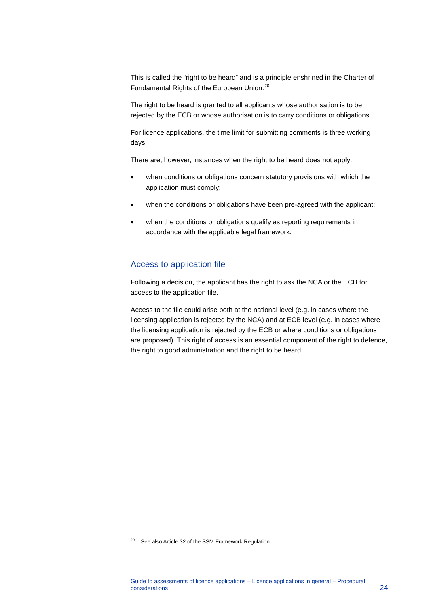This is called the "right to be heard" and is a principle enshrined in the Charter of Fundamental Rights of the European Union.<sup>[20](#page-24-0)</sup>

The right to be heard is granted to all applicants whose authorisation is to be rejected by the ECB or whose authorisation is to carry conditions or obligations.

For licence applications, the time limit for submitting comments is three working days.

There are, however, instances when the right to be heard does not apply:

- when conditions or obligations concern statutory provisions with which the application must comply;
- when the conditions or obligations have been pre-agreed with the applicant;
- when the conditions or obligations qualify as reporting requirements in accordance with the applicable legal framework.

#### Access to application file

Following a decision, the applicant has the right to ask the NCA or the ECB for access to the application file.

Access to the file could arise both at the national level (e.g. in cases where the licensing application is rejected by the NCA) and at ECB level (e.g. in cases where the licensing application is rejected by the ECB or where conditions or obligations are proposed). This right of access is an essential component of the right to defence, the right to good administration and the right to be heard.

-

<span id="page-24-0"></span><sup>&</sup>lt;sup>20</sup> See also Article 32 of the SSM Framework Regulation.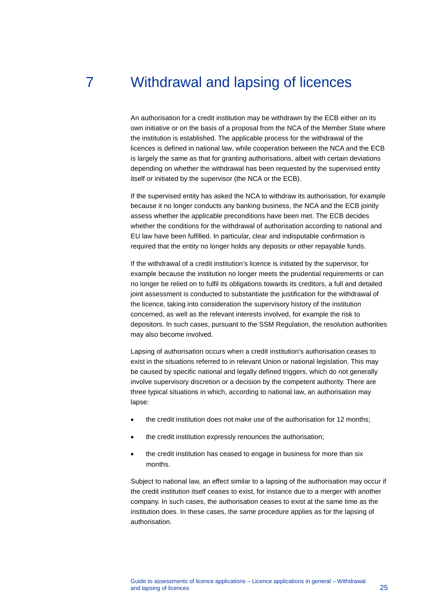# 7 Withdrawal and lapsing of licences

<span id="page-25-0"></span>An authorisation for a credit institution may be withdrawn by the ECB either on its own initiative or on the basis of a proposal from the NCA of the Member State where the institution is established. The applicable process for the withdrawal of the licences is defined in national law, while cooperation between the NCA and the ECB is largely the same as that for granting authorisations, albeit with certain deviations depending on whether the withdrawal has been requested by the supervised entity itself or initiated by the supervisor (the NCA or the ECB).

If the supervised entity has asked the NCA to withdraw its authorisation, for example because it no longer conducts any banking business, the NCA and the ECB jointly assess whether the applicable preconditions have been met. The ECB decides whether the conditions for the withdrawal of authorisation according to national and EU law have been fulfilled. In particular, clear and indisputable confirmation is required that the entity no longer holds any deposits or other repayable funds.

If the withdrawal of a credit institution's licence is initiated by the supervisor, for example because the institution no longer meets the prudential requirements or can no longer be relied on to fulfil its obligations towards its creditors, a full and detailed joint assessment is conducted to substantiate the justification for the withdrawal of the licence, taking into consideration the supervisory history of the institution concerned, as well as the relevant interests involved, for example the risk to depositors. In such cases, pursuant to the SSM Regulation, the resolution authorities may also become involved.

Lapsing of authorisation occurs when a credit institution's authorisation ceases to exist in the situations referred to in relevant Union or national legislation. This may be caused by specific national and legally defined triggers, which do not generally involve supervisory discretion or a decision by the competent authority. There are three typical situations in which, according to national law, an authorisation may lapse:

- the credit institution does not make use of the authorisation for 12 months;
- the credit institution expressly renounces the authorisation;
- the credit institution has ceased to engage in business for more than six months.

Subject to national law, an effect similar to a lapsing of the authorisation may occur if the credit institution itself ceases to exist, for instance due to a merger with another company. In such cases, the authorisation ceases to exist at the same time as the institution does. In these cases, the same procedure applies as for the lapsing of authorisation.